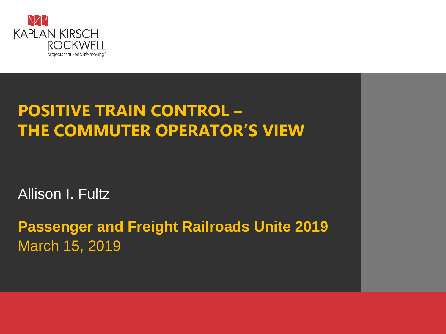

#### **POSITIVE TRAIN CONTROL – THE COMMUTER OPERATOR'S VIEW**

Allison I. Fultz

**Passenger and Freight Railroads Unite 2019** March 15, 2019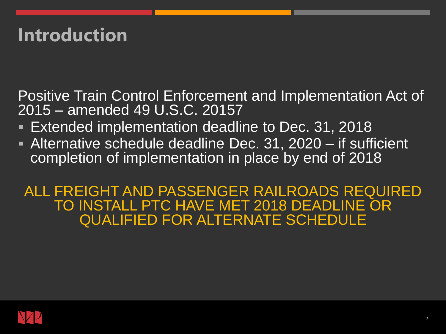## **Introduction**

Positive Train Control Enforcement and Implementation Act of 2015 – amended 49 U.S.C. 20157

- **Extended implementation deadline to Dec. 31, 2018**
- **EXTE** Alternative schedule deadline Dec. 31, 2020 if sufficient completion of implementation in place by end of 2018

ALL FREIGHT AND PASSENGER RAILROADS REQUIRED TO INSTALL PTC HAVE MET 2018 DEADLINE OR QUALIFIED FOR ALTERNATE SCHEDULE

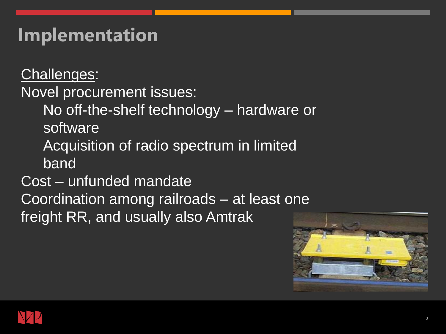### **Implementation**

Challenges:

Novel procurement issues:

No off-the-shelf technology – hardware or software

Acquisition of radio spectrum in limited band

Cost – unfunded mandate

Coordination among railroads – at least one

freight RR, and usually also Amtrak



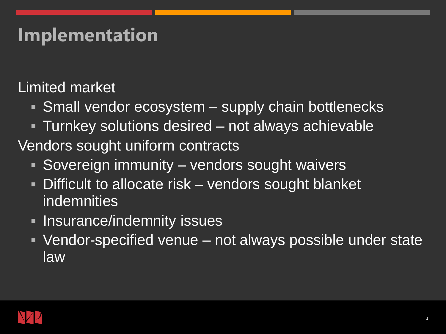### **Implementation**

Limited market

- **E** Small vendor ecosystem supply chain bottlenecks
- **Turnkey solutions desired not always achievable** Vendors sought uniform contracts
	- Sovereign immunity vendors sought waivers
	- **Difficult to allocate risk vendors sought blanket** indemnities
	- **Example 1 Insurance/indemnity issues**
	- Vendor-specified venue not always possible under state law

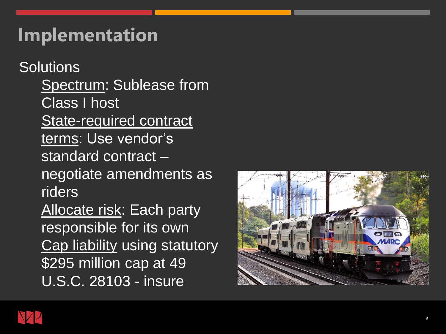### **Implementation**

**Solutions** Spectrum: Sublease from Class I host State-required contract terms: Use vendor's standard contract – negotiate amendments as riders Allocate risk: Each party responsible for its own Cap liability using statutory \$295 million cap at 49 U.S.C. 28103 - insure



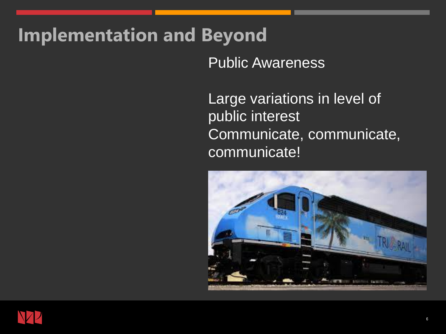### **Implementation and Beyond**

Public Awareness

Large variations in level of public interest Communicate, communicate, communicate!



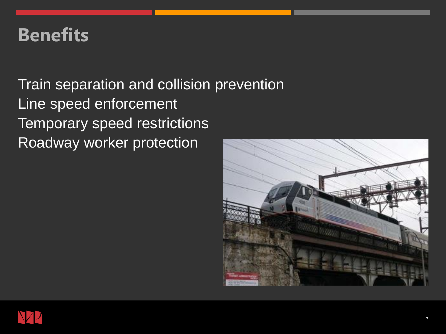#### **Benefits**

Train separation and collision prevention Line speed enforcement Temporary speed restrictions Roadway worker protection



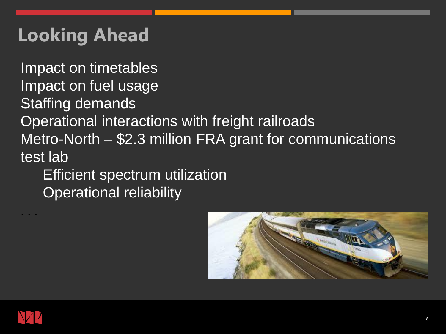# **Looking Ahead**

Impact on timetables Impact on fuel usage Staffing demands Operational interactions with freight railroads Metro-North – \$2.3 million FRA grant for communications test lab

Efficient spectrum utilization Operational reliability





. . .